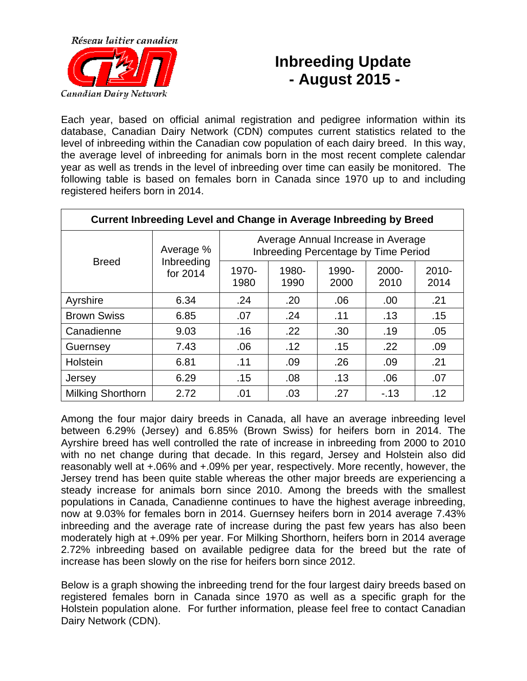

## **Inbreeding Update - August 2015 -**

Each year, based on official animal registration and pedigree information within its database, Canadian Dairy Network (CDN) computes current statistics related to the level of inbreeding within the Canadian cow population of each dairy breed. In this way, the average level of inbreeding for animals born in the most recent complete calendar year as well as trends in the level of inbreeding over time can easily be monitored. The following table is based on females born in Canada since 1970 up to and including registered heifers born in 2014.

| Current Inbreeding Level and Change in Average Inbreeding by Breed |                                     |                                                                            |               |               |               |                  |
|--------------------------------------------------------------------|-------------------------------------|----------------------------------------------------------------------------|---------------|---------------|---------------|------------------|
| <b>Breed</b>                                                       | Average %<br>Inbreeding<br>for 2014 | Average Annual Increase in Average<br>Inbreeding Percentage by Time Period |               |               |               |                  |
|                                                                    |                                     | 1970-<br>1980                                                              | 1980-<br>1990 | 1990-<br>2000 | 2000-<br>2010 | $2010 -$<br>2014 |
| Ayrshire                                                           | 6.34                                | .24                                                                        | .20           | .06           | .00.          | .21              |
| <b>Brown Swiss</b>                                                 | 6.85                                | .07                                                                        | .24           | .11           | .13           | .15              |
| Canadienne                                                         | 9.03                                | .16                                                                        | .22           | .30           | .19           | .05              |
| Guernsey                                                           | 7.43                                | .06                                                                        | .12           | .15           | .22           | .09              |
| Holstein                                                           | 6.81                                | .11                                                                        | .09           | .26           | .09           | .21              |
| Jersey                                                             | 6.29                                | .15                                                                        | .08           | .13           | .06           | .07              |
| <b>Milking Shorthorn</b>                                           | 2.72                                | .01                                                                        | .03           | .27           | $-13$         | .12              |

Among the four major dairy breeds in Canada, all have an average inbreeding level between 6.29% (Jersey) and 6.85% (Brown Swiss) for heifers born in 2014. The Ayrshire breed has well controlled the rate of increase in inbreeding from 2000 to 2010 with no net change during that decade. In this regard, Jersey and Holstein also did reasonably well at +.06% and +.09% per year, respectively. More recently, however, the Jersey trend has been quite stable whereas the other major breeds are experiencing a steady increase for animals born since 2010. Among the breeds with the smallest populations in Canada, Canadienne continues to have the highest average inbreeding, now at 9.03% for females born in 2014. Guernsey heifers born in 2014 average 7.43% inbreeding and the average rate of increase during the past few years has also been moderately high at +.09% per year. For Milking Shorthorn, heifers born in 2014 average 2.72% inbreeding based on available pedigree data for the breed but the rate of increase has been slowly on the rise for heifers born since 2012.

Below is a graph showing the inbreeding trend for the four largest dairy breeds based on registered females born in Canada since 1970 as well as a specific graph for the Holstein population alone. For further information, please feel free to contact Canadian Dairy Network (CDN).